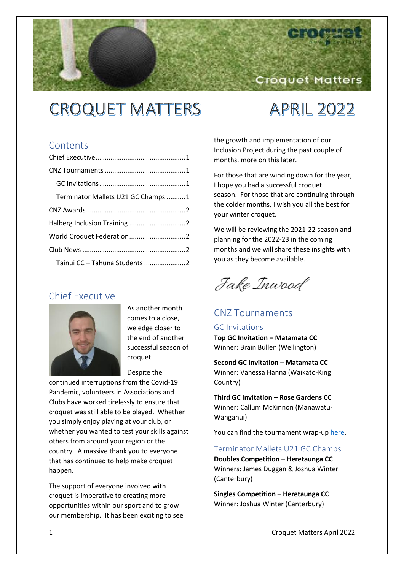# **CROQUET MATTERS**

## **APRIL 2022**

Croquet Matters

## **Contents**

| Terminator Mallets U21 GC Champs 1 |  |
|------------------------------------|--|
|                                    |  |
|                                    |  |
|                                    |  |
|                                    |  |
| Tainui CC - Tahuna Students 2      |  |

## <span id="page-0-0"></span>Chief Executive



As another month comes to a close, we edge closer to the end of another successful season of croquet.

Despite the

continued interruptions from the Covid-19 Pandemic, volunteers in Associations and Clubs have worked tirelessly to ensure that croquet was still able to be played. Whether you simply enjoy playing at your club, or whether you wanted to test your skills against others from around your region or the country. A massive thank you to everyone that has continued to help make croquet happen.

The support of everyone involved with croquet is imperative to creating more opportunities within our sport and to grow our membership. It has been exciting to see the growth and implementation of our Inclusion Project during the past couple of months, more on this later.

For those that are winding down for the year, I hope you had a successful croquet season. For those that are continuing through the colder months, I wish you all the best for your winter croquet.

We will be reviewing the 2021-22 season and planning for the 2022-23 in the coming months and we will share these insights with you as they become available.

Jake Inwood

## <span id="page-0-1"></span>CNZ Tournaments

#### <span id="page-0-2"></span>GC Invitations

**Top GC Invitation – Matamata CC**  Winner: Brain Bullen (Wellington)

**Second GC Invitation – Matamata CC** 

Winner: Vanessa Hanna (Waikato-King Country)

**Third GC Invitation – Rose Gardens CC**  Winner: Callum McKinnon (Manawatu-Wanganui)

You can find the tournament wrap-up [here.](https://croquet.org.nz/2022-gc-invitations-wrap-up/)

#### <span id="page-0-3"></span>Terminator Mallets U21 GC Champs

**Doubles Competition – Heretaunga CC**  Winners: James Duggan & Joshua Winter (Canterbury)

**Singles Competition – Heretaunga CC**  Winner: Joshua Winter (Canterbury)